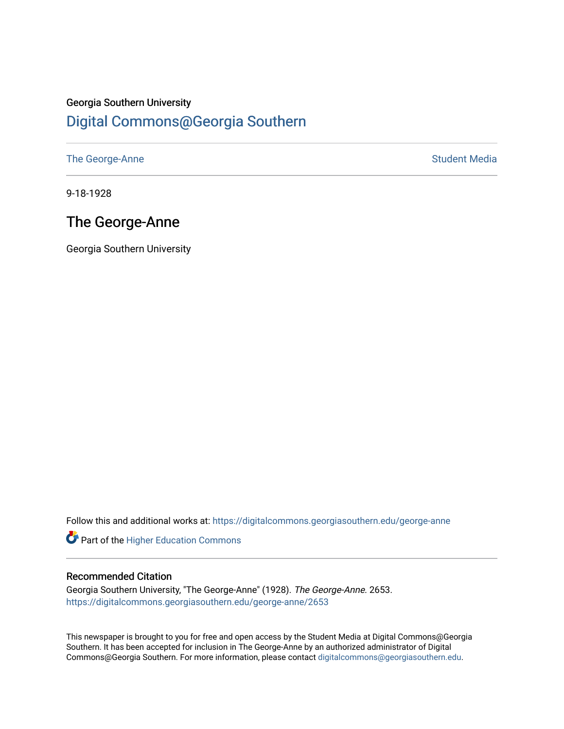#### Georgia Southern University

#### [Digital Commons@Georgia Southern](https://digitalcommons.georgiasouthern.edu/)

[The George-Anne](https://digitalcommons.georgiasouthern.edu/george-anne) Student Media

9-18-1928

#### The George-Anne

Georgia Southern University

Follow this and additional works at: [https://digitalcommons.georgiasouthern.edu/george-anne](https://digitalcommons.georgiasouthern.edu/george-anne?utm_source=digitalcommons.georgiasouthern.edu%2Fgeorge-anne%2F2653&utm_medium=PDF&utm_campaign=PDFCoverPages)

**Part of the Higher Education Commons** 

#### Recommended Citation

Georgia Southern University, "The George-Anne" (1928). The George-Anne. 2653. [https://digitalcommons.georgiasouthern.edu/george-anne/2653](https://digitalcommons.georgiasouthern.edu/george-anne/2653?utm_source=digitalcommons.georgiasouthern.edu%2Fgeorge-anne%2F2653&utm_medium=PDF&utm_campaign=PDFCoverPages) 

This newspaper is brought to you for free and open access by the Student Media at Digital Commons@Georgia Southern. It has been accepted for inclusion in The George-Anne by an authorized administrator of Digital Commons@Georgia Southern. For more information, please contact [digitalcommons@georgiasouthern.edu](mailto:digitalcommons@georgiasouthern.edu).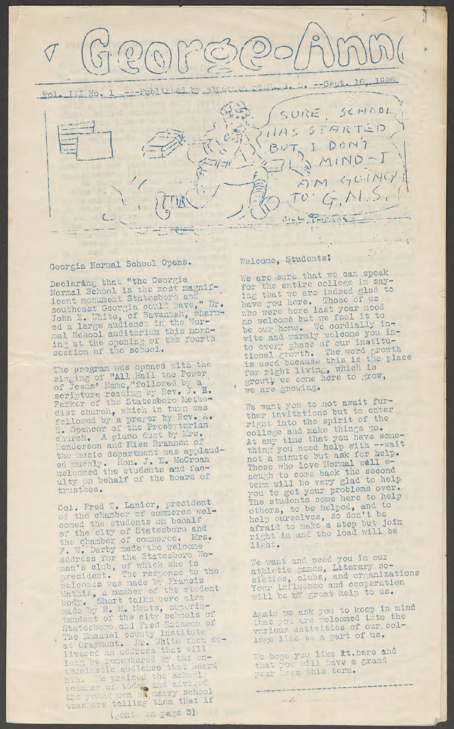

### Georgia Normal School Opens.

Declaring that "the Georgia<br>Normal School is the most magnif-Normal School is the most magnet icont monument Statesboro and " southeast Georgia could mave, 31. John E. White, of Savannan, Mor-<br>ed a large audience in the Wormal School auditorium this morning at the opening of the four session of the school.

The program was opened with one **sirrin?°oi' "All Hail the Power, of\*Jesus\*** Name,**"followed oy a** scripture reading by Rev. J. E. Parker **of the** Statesboro **memo d!st church, which** i n **turn was** followed by a prayer by *nev.* E. Spencer of the Presbyterian church. A piano duet by mus. Henderson and Miss Brannen of the music department was applican **ed muchly. Hon. J. n. v <sup>r</sup>eT corned the students ana fa ulty** on **behalf of the board oi trustees.**

Col. Fred T. Lanier, president of the chamber of commerce welcomed the students on behalf of the city of Statesboro and the chamber of commerce. 7?. *wl'* Darby made "the welcome address for the Statesboro woman's club, of which she is **president.** The **response to tno** welcomes was made by Francis Mathis, a member of the student hody. Short talks were also made by R. M. Monts, superintendent of the city schools of Statesboro and Fred.Brinson of The Emanuel county institute at Graymont. Dr. 311 to theil livered an address that will<br>long be remembered by the cnthusiastic audience that near rim. Te nraised the school teacher of today and advised the young men we manny someon teachers telling them that is **(iCntv on page 3)**

#### Welcome, **Studentsi**

We are sure that we can speak for the entire college **in** saythat **wo arc** indeed glad **to** have you here. Those of as who were here **last** year it to no welcome, but we **feel it to <sup>7</sup>"ie our home, --e cordia3***—j* **.** vite and warmly welcome *y* instituto every phase of our fine rowth<br>tional growth. The word growth **is used' because this is tne for rieht living, which io growt^Twe come here to grow,** we are growing.

We want you to not awar . ther invitations but to the  $r$ **ight** into the spirit of the **college'and make things go.** At any time that you have been **thin^ vou need help with --wait** not'**a minute but ask for help. Those** who love hormal will come  $\tan \frac{1}{2}$  **be very glad were von to get your problems oier. The students come here to nelp others, to be helped, ana Hein ourselves, so don t be afraid to make <sup>a</sup> step but Join right in and the load will be** light.

rre want **and need** you in our athletic games, Literary soathletic games, and organizations Your influence and cooperate will **be 'of** great -help to us.

Again we **ask you to** keep **in mind** that you are welcomed into the **various** activities **of our.col**lege life to a **part of us.**

**Me** hone you like **it.here and** that you will have a grand *vear* lexe this term.

 $-$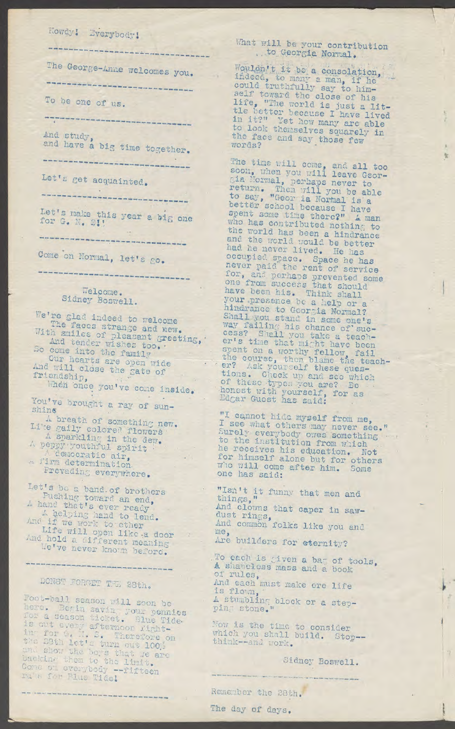# Howdy! Everybody!

--------------------------------

And study,<br>and have a big time together.

Prevading everywhere.

Let's bo a band of brothers<br>
Fushing toward an end,<br>
A hand that's ever ready<br>
A hand that's ever ready<br>
A had dividend a dust rings,<br>
And if we work to ether<br>
Life will open like a door<br>
Must rings,<br>
And common folks like

## DONST FORGET TEL 28th.

Foot-ball season will soon be<br>
here. Begin saving your pennies<br>
for a season ticket. Blue Tide.<br>
is out every afternoon right-<br>
in for 0. I, 2. Therefore on<br>
the move is the time to consider<br>
in for 0. I, 2. Therefore on<br>

#### What will be your contribution to Georgia Normal.

The George-Anne welcomes you.<br>
The George-Anne welcomes you.<br>
The welcomes you.<br>
To be one of us.<br>
To be one of us.<br>
The world is just a life with the world is just a life with the world is just a life with the boxe of his

and have a big time together.<br>
The time will cone, and all too both when you will have a big time to soon, when you will have determined to any when will you be able to any when we have the second because I are for the sec

Find the prought a ray of sun-<br>
A breath of something new. I see what others may never see."<br>
I see what others may never see."<br>
A sparkling in the dew.<br>
A peppy youthful spirit in the dew. A democratic air, for himself al one has said:

To each is given a bag of tools, A shapeless mass and a book A Shakeress mass and a book<br>of rules,<br>And each must make ore life<br>is flown,<br>A stumbling block or a step-<br>ping stone."

 $\frac{1}{\sqrt{2}}$ 

Remember the 28th.

The day of days.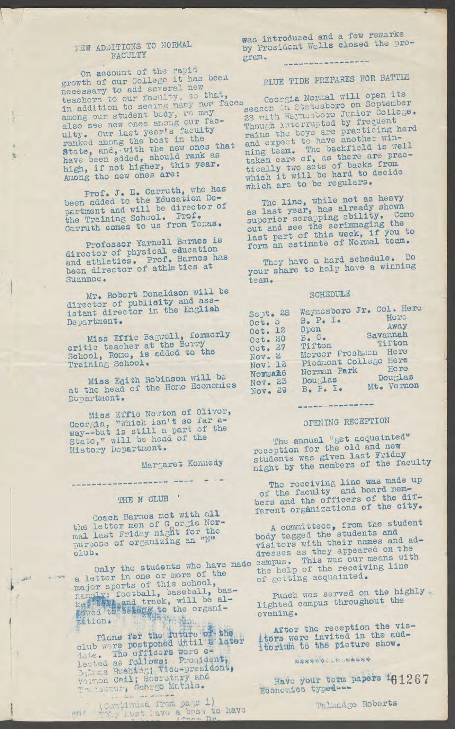#### NEW ADDITIONS TO NORMAL FACULTY

型

On account of the rapid growth of our College it has been necessary to add several new teachers to our faculty, so that, in addition to seeing many new faces among our student body, we may also see new ones among our fac-<br>ulty. Our last year's faculty ranked among the best in the<br>state, and, with the new ones that<br>have been added, should rank as<br>high, if not higher, this year.<br>Among the new ones are: Among the new ones are:

Prof. J. E. Carruth, who has<br>been added to the Education De-<br>partment and will be director of the Training School. Prof. Carruth comes to us from Toxas.

Professor Yarnell Barnes is director of physical education and athletics. Prof. Barnes has<br>been director of athletics at Suannoe.

Mr. Robert Donaldson will be director of publicity and ass-<br>istant director in the English Department.

Miss Effic Bagwall, formerly School, Romo, is added to the Training School.

Miss Edith Robinson will be<br>at the head of the Home Economics Dopartment.

Miss Effic Newton of Oliver, Georgia, "which isn't so far a-way--but is still a part of the State," will be head of the History Department.

Margaret Konnedy

#### THE N CLUB .

---------------------------

Coach Barnes met with all the letter men of G orgin Nor-<br>mal last Friday night for the purpose of organizing an "N" club.

a letter in one of this school,<br>mamely: football, baseball, bas-<br>kgk is and track, will be al-<br>kgk is seleng to the organi-<br>zation.

Plans for the future of the club were postponed until a later date. The officers were e-<br>lected as follows: President, Delinas Rushing; Vice-president, Vernon Cail; Socretary and

(Continued from page 1)

was introduced and a few remarks by Prosident Wells closed the program. ---------------

#### **PLUE TIDE PREPARES FOR BATTLE**

Coorgia Normal will open its season in Statesboro on September 28 with Waynesboro Junior College. Though interrupted by frequent rains the boys are practicing hard<br>and expect to have another win-<br>ning team. The backfield is well<br>taken care of, as there are pracwhich it will be hard to decide<br>which are to be regulars.

The line, while not as heavy as last year, has already shown superior scrapping ability. Come out and see the scrimmaging the last part of this week, if you to<br>form an estimate of Normal team.

They have a hard schedule. Do your share to help have a winning team.

#### SCHEDULE

| Sept. 28            | Waynesboro Jr. Col. Here          |
|---------------------|-----------------------------------|
|                     | Horp<br>$Bo$ $Po$ I.              |
| Oct. 5              | Away                              |
| Oct. 12             | Open                              |
| Oct. 20             | Savannah<br>$B \bullet C \bullet$ |
|                     | Tiiton<br>Tifton                  |
| $0$ ct. 27          | Morcer Freshmen Here              |
| Nov. 2              |                                   |
| Nov <sub>c</sub> 12 | Picamont College Here             |
| Novmah6             | Hore<br>Norman Park               |
|                     | Douglas<br>Douglas                |
| Nov <sub>e</sub> 23 | Mt. Vernon                        |
| Nov. 29             | $Be$ $Pe$ $Ie$                    |

#### -----------------

#### OPENING RECEPTION

The annual "get acquainted" reception for the old and new students was given last Friday night by the members of the faculty

The receiving line was made up<br>of the faculty and board mem-<br>bers and the officers of the dif-<br>ferent organizations of the city.

A committeee, from the student<br>body tagged the students and visitors with their names and addresses as they appeared on the Only the students who have made campus. This was our means with<br>a letter in one or more of the the help of the receiving line of getting acquainted.

Punch was served on the highly. lighted campus throughout the evening.

After the reception the visitors were invited in the aud-<br>itorium to the picture show.

\*\*\*\*\*\*\*\*\*\*\*\*\*\*\*

Have your term papers 161267 Economics typed ---

Talmadge Roberts